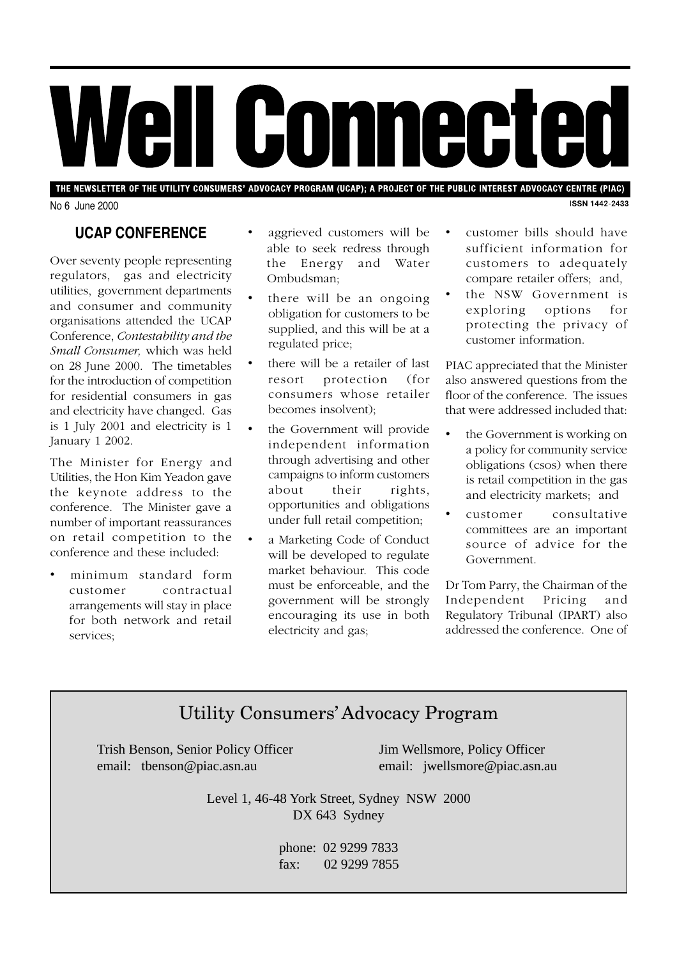# Well Connected

THE NEWSLETTER OF THE UTILITY CONSUMERS' ADVOCACY PROGRAM (UCAP); A PROJECT OF THE PUBLIC INTEREST ADVOCACY CENTRE (PIAC) **ISSN 1442-2433** 

No 6 June 2000

# **UCAP CONFERENCE**

Over seventy people representing regulators, gas and electricity utilities, government departments and consumer and community organisations attended the UCAP Conference, *Contestability and the Small Consumer,* which was held on 28 June 2000. The timetables for the introduction of competition for residential consumers in gas and electricity have changed. Gas is 1 July 2001 and electricity is 1 January 1 2002.

The Minister for Energy and Utilities, the Hon Kim Yeadon gave the keynote address to the conference. The Minister gave a number of important reassurances on retail competition to the conference and these included:

• minimum standard form customer contractual arrangements will stay in place for both network and retail services;

- aggrieved customers will be able to seek redress through the Energy and Water Ombudsman;
- there will be an ongoing obligation for customers to be supplied, and this will be at a regulated price;
- there will be a retailer of last resort protection (for consumers whose retailer becomes insolvent);
- the Government will provide independent information through advertising and other campaigns to inform customers about their rights, opportunities and obligations under full retail competition;
- a Marketing Code of Conduct will be developed to regulate market behaviour. This code must be enforceable, and the government will be strongly encouraging its use in both electricity and gas;
- customer bills should have sufficient information for customers to adequately compare retailer offers; and,
- the NSW Government is exploring options for protecting the privacy of customer information.

PIAC appreciated that the Minister also answered questions from the floor of the conference. The issues that were addressed included that:

- the Government is working on a policy for community service obligations (csos) when there is retail competition in the gas and electricity markets; and
- customer consultative committees are an important source of advice for the Government.

Dr Tom Parry, the Chairman of the Independent Pricing and Regulatory Tribunal (IPART) also addressed the conference. One of

# Utility Consumers' Advocacy Program

Trish Benson, Senior Policy Officer Jim Wellsmore, Policy Officer email: tbenson@piac.asn.au email: jwellsmore@piac.asn.au

Level 1, 46-48 York Street, Sydney NSW 2000 DX 643 Sydney

> phone: 02 9299 7833 fax: 02 9299 7855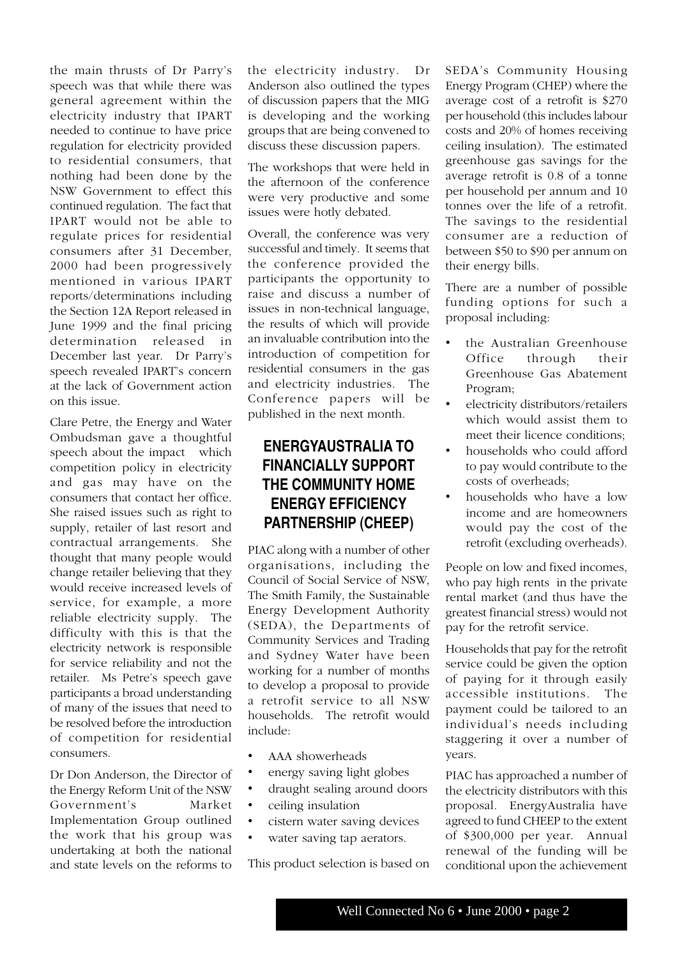the main thrusts of Dr Parry's speech was that while there was general agreement within the electricity industry that IPART needed to continue to have price regulation for electricity provided to residential consumers, that nothing had been done by the NSW Government to effect this continued regulation. The fact that IPART would not be able to regulate prices for residential consumers after 31 December, 2000 had been progressively mentioned in various IPART reports/determinations including the Section 12A Report released in June 1999 and the final pricing determination released in December last year. Dr Parry's speech revealed IPART's concern at the lack of Government action on this issue.

Clare Petre, the Energy and Water Ombudsman gave a thoughtful speech about the impact which competition policy in electricity and gas may have on the consumers that contact her office. She raised issues such as right to supply, retailer of last resort and contractual arrangements. She thought that many people would change retailer believing that they would receive increased levels of service, for example, a more reliable electricity supply. The difficulty with this is that the electricity network is responsible for service reliability and not the retailer. Ms Petre's speech gave participants a broad understanding of many of the issues that need to be resolved before the introduction of competition for residential consumers.

Dr Don Anderson, the Director of the Energy Reform Unit of the NSW Government's Market Implementation Group outlined the work that his group was undertaking at both the national and state levels on the reforms to

the electricity industry. Dr Anderson also outlined the types of discussion papers that the MIG is developing and the working groups that are being convened to discuss these discussion papers.

The workshops that were held in the afternoon of the conference were very productive and some issues were hotly debated.

Overall, the conference was very successful and timely. It seems that the conference provided the participants the opportunity to raise and discuss a number of issues in non-technical language, the results of which will provide an invaluable contribution into the introduction of competition for residential consumers in the gas and electricity industries. The Conference papers will be published in the next month.

## **ENERGYAUSTRALIA TO FINANCIALLY SUPPORT THE COMMUNITY HOME ENERGY EFFICIENCY PARTNERSHIP (CHEEP)**

PIAC along with a number of other organisations, including the Council of Social Service of NSW, The Smith Family, the Sustainable Energy Development Authority (SEDA), the Departments of Community Services and Trading and Sydney Water have been working for a number of months to develop a proposal to provide a retrofit service to all NSW households. The retrofit would include:

- AAA showerheads
- energy saving light globes
- draught sealing around doors
- ceiling insulation
- cistern water saving devices
- water saving tap aerators.

This product selection is based on

SEDA's Community Housing Energy Program (CHEP) where the average cost of a retrofit is \$270 per household (this includes labour costs and 20% of homes receiving ceiling insulation). The estimated greenhouse gas savings for the average retrofit is 0.8 of a tonne per household per annum and 10 tonnes over the life of a retrofit. The savings to the residential consumer are a reduction of between \$50 to \$90 per annum on their energy bills.

There are a number of possible funding options for such a proposal including:

- the Australian Greenhouse Office through their Greenhouse Gas Abatement Program;
- electricity distributors/retailers which would assist them to meet their licence conditions;
- households who could afford to pay would contribute to the costs of overheads;
- households who have a low income and are homeowners would pay the cost of the retrofit (excluding overheads).

People on low and fixed incomes, who pay high rents in the private rental market (and thus have the greatest financial stress) would not pay for the retrofit service.

Households that pay for the retrofit service could be given the option of paying for it through easily accessible institutions. The payment could be tailored to an individual's needs including staggering it over a number of years.

PIAC has approached a number of the electricity distributors with this proposal. EnergyAustralia have agreed to fund CHEEP to the extent of \$300,000 per year. Annual renewal of the funding will be conditional upon the achievement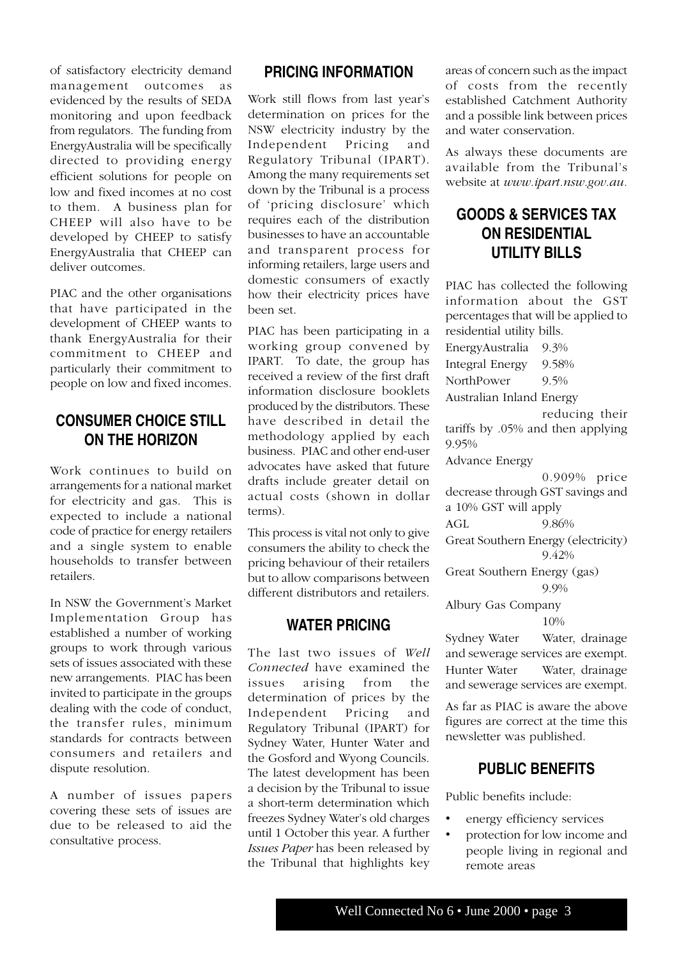of satisfactory electricity demand management outcomes as evidenced by the results of SEDA monitoring and upon feedback from regulators. The funding from EnergyAustralia will be specifically directed to providing energy efficient solutions for people on low and fixed incomes at no cost to them. A business plan for CHEEP will also have to be developed by CHEEP to satisfy EnergyAustralia that CHEEP can deliver outcomes.

PIAC and the other organisations that have participated in the development of CHEEP wants to thank EnergyAustralia for their commitment to CHEEP and particularly their commitment to people on low and fixed incomes.

#### **CONSUMER CHOICE STILL ON THE HORIZON**

Work continues to build on arrangements for a national market for electricity and gas. This is expected to include a national code of practice for energy retailers and a single system to enable households to transfer between retailers.

In NSW the Government's Market Implementation Group has established a number of working groups to work through various sets of issues associated with these new arrangements. PIAC has been invited to participate in the groups dealing with the code of conduct, the transfer rules, minimum standards for contracts between consumers and retailers and dispute resolution.

A number of issues papers covering these sets of issues are due to be released to aid the consultative process.

#### **PRICING INFORMATION**

Work still flows from last year's determination on prices for the NSW electricity industry by the Independent Pricing and Regulatory Tribunal (IPART). Among the many requirements set down by the Tribunal is a process of 'pricing disclosure' which requires each of the distribution businesses to have an accountable and transparent process for informing retailers, large users and domestic consumers of exactly how their electricity prices have been set.

PIAC has been participating in a working group convened by IPART. To date, the group has received a review of the first draft information disclosure booklets produced by the distributors. These have described in detail the methodology applied by each business. PIAC and other end-user advocates have asked that future drafts include greater detail on actual costs (shown in dollar terms).

This process is vital not only to give consumers the ability to check the pricing behaviour of their retailers but to allow comparisons between different distributors and retailers.

#### **WATER PRICING**

The last two issues of *Well Connected* have examined the issues arising from the determination of prices by the Independent Pricing and Regulatory Tribunal (IPART) for Sydney Water, Hunter Water and the Gosford and Wyong Councils. The latest development has been a decision by the Tribunal to issue a short-term determination which freezes Sydney Water's old charges until 1 October this year. A further *Issues Paper* has been released by the Tribunal that highlights key

areas of concern such as the impact of costs from the recently established Catchment Authority and a possible link between prices and water conservation.

As always these documents are available from the Tribunal's website at *www.ipart.nsw.gov.au.*

# **GOODS & SERVICES TAX ON RESIDENTIAL UTILITY BILLS**

PIAC has collected the following information about the GST percentages that will be applied to residential utility bills.

EnergyAustralia 9.3%

Integral Energy 9.58%

NorthPower 9.5%

Australian Inland Energy

reducing their tariffs by .05% and then applying 9.95%

Advance Energy

0.909% price decrease through GST savings and a 10% GST will apply

AGL 9.86%

Great Southern Energy (electricity) 9.42%

Great Southern Energy (gas)

9.9%

Albury Gas Company

10%

Sydney Water Water, drainage and sewerage services are exempt. Hunter Water Water, drainage and sewerage services are exempt.

As far as PIAC is aware the above figures are correct at the time this newsletter was published.

#### **PUBLIC BENEFITS**

Public benefits include:

- energy efficiency services
- protection for low income and people living in regional and remote areas